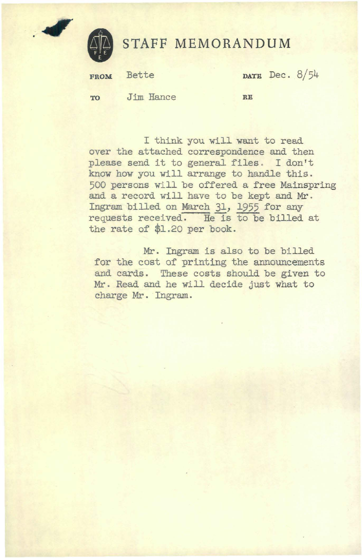

.#

## **STAFF MEMORANDUM**

FROM Bette **DATE** Dec. 8/54 **TO** Jim Hance **RB** 

I think you will want to read over the attached correspondence and then please send it to general files. I don't know how you will arrange to handle this. 500 persons will be offered a free Mainspring and a record will have to be kept and Mr.<br>Ingram billed on March 31, 1955 for any requests received. He is to be billed at the rate of \$1.20 per book.

Mr. Ingram is also to be billed for the cost of printing the announcements and cards. These costs should be given to Mr. Read and he will decide just what to charge Mr . Ingram.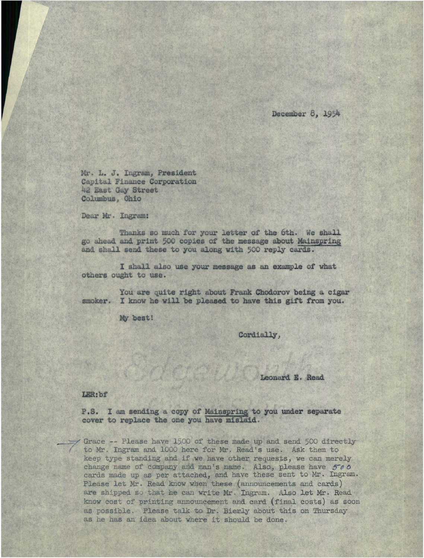December 8, 1954

Mr. L. J. Ingram, President Capital Finance Corporation 42 East Gay Street Columbus, Ohio

Dear Mr . Ingram:

Thanks so much for your letter of the 6th. We shall go ahead and print 500 copies of the message about Mainspring and shall send these to you along with 500 reply cards .

I shall also use your message as an example of what others ought to use.

You are quite right about Frank Chodorov being a cigar smoker. I know he will be pleased to have this gift from you.

My best!

Cordially,

Leonard E. Read

LER:bf

P.S. I am sending a copy of Mainspring to you under separate cover to replace the one you have mislaid.

Grace -- Please have 1500 of these made up and send 500 directly to Mr. Ingram and 1000 here for Mr. Read's use. Ask them to keep type standing and if we have other requests, we can merely change name of company and man's name. Also, please have  $500$ cards made up as per attached, and have these sent to Mr. Ingram. Please let Mr. Read know when these (announcements and cards) are shipped so that he can write Mr. Ingram. Also let Mr. Read know cost of printing announcement and cerd (final costs) as soon as possible. Please talk to Dr. Bierly about this on Thursday as he has an idea about where it should be done.